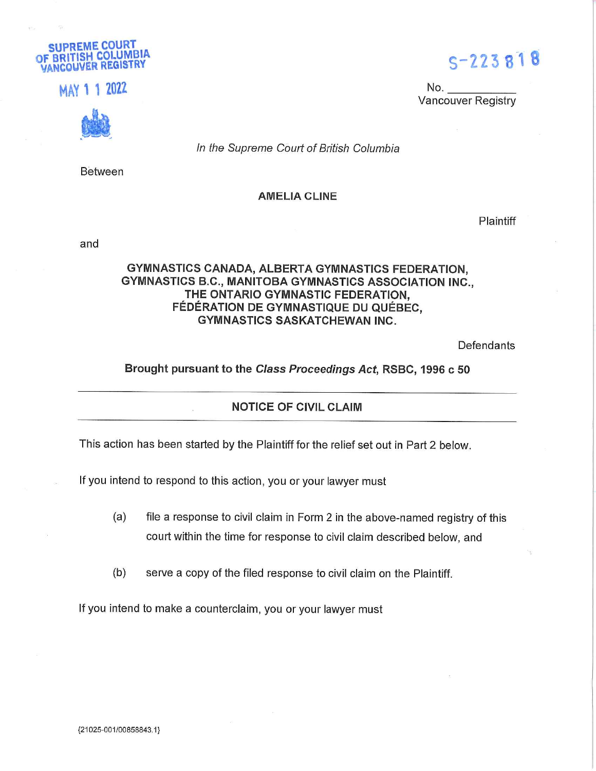

.,,' i '• im No.



In the Supreme Court of British Columbia

Between

#### AMELIA CLINE

**Plaintiff** 

Vancouver Registry

 $\bullet$  '.  $\bullet$ 

and

#### GYMNASTICS CANADA, ALBERTA GYMNASTICS FEDERATION, GYMNASTICS B.C., MANITOBA GYMNASTICS ASSOCIATION INC., THE ONTARIO GYMNASTIC FEDERATION, FEDERATION DE GYMNASTIQUE DU QUEBEC, GYMNASTICS SASKATCHEWAN INC.

**Defendants** 

#### Brought pursuant to the Class Proceedings Act, RSBC, 1996 c 50

#### NOTICE OF CIVIL CLAIM

This action has been started by the Plaintiff for the relief set out in Part 2 below.

If you intend to respond to this action, you or your lawyer must

- (a) file a response to civil claim in Form 2 in the above-named registry of this court within the time for response to civil claim described below, and
- (b) serve a copy of the filed response to civil claim on the Plaintiff.

If you intend to make a counterclaim, you or your lawyer must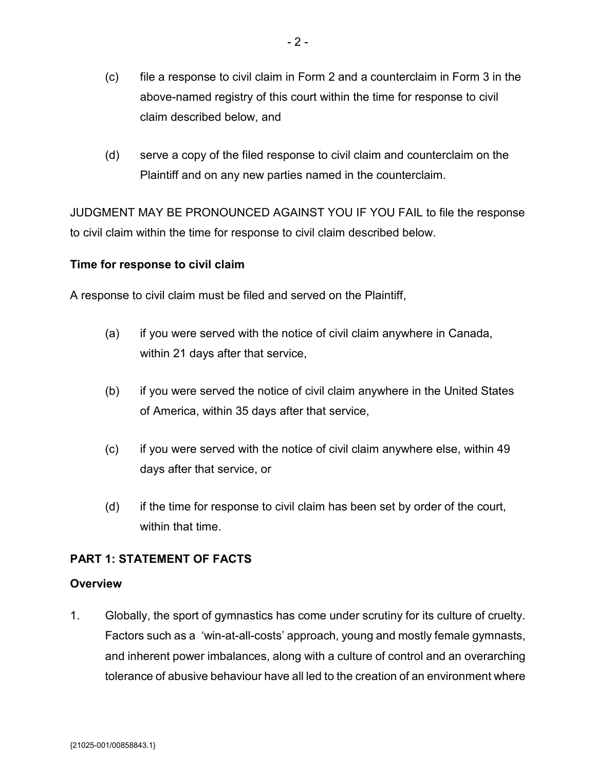- (c) file a response to civil claim in Form 2 and a counterclaim in Form 3 in the above-named registry of this court within the time for response to civil claim described below, and
- (d) serve a copy of the filed response to civil claim and counterclaim on the Plaintiff and on any new parties named in the counterclaim.

JUDGMENT MAY BE PRONOUNCED AGAINST YOU IF YOU FAIL to file the response to civil claim within the time for response to civil claim described below.

## **Time for response to civil claim**

A response to civil claim must be filed and served on the Plaintiff,

- (a) if you were served with the notice of civil claim anywhere in Canada, within 21 days after that service,
- (b) if you were served the notice of civil claim anywhere in the United States of America, within 35 days after that service,
- (c) if you were served with the notice of civil claim anywhere else, within 49 days after that service, or
- (d) if the time for response to civil claim has been set by order of the court, within that time.

## **PART 1: STATEMENT OF FACTS**

#### **Overview**

1. Globally, the sport of gymnastics has come under scrutiny for its culture of cruelty. Factors such as a 'win-at-all-costs' approach, young and mostly female gymnasts, and inherent power imbalances, along with a culture of control and an overarching tolerance of abusive behaviour have all led to the creation of an environment where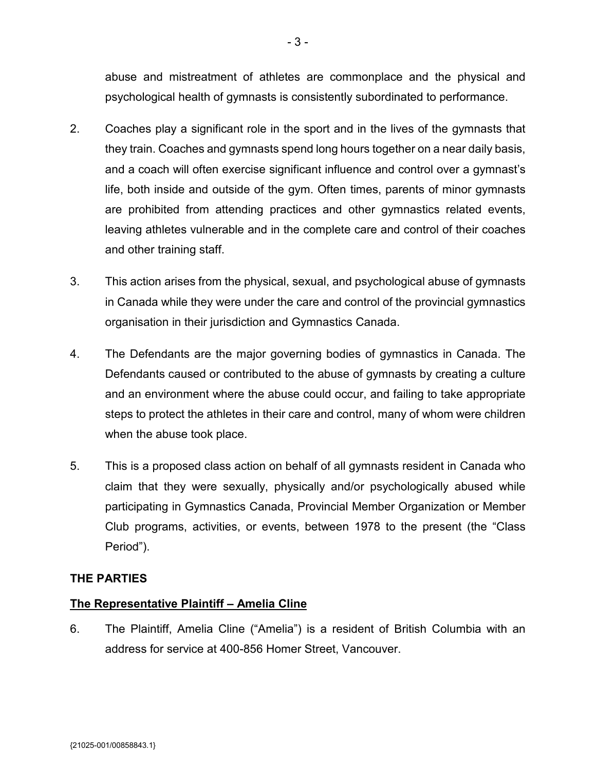abuse and mistreatment of athletes are commonplace and the physical and psychological health of gymnasts is consistently subordinated to performance.

- 2. Coaches play a significant role in the sport and in the lives of the gymnasts that they train. Coaches and gymnasts spend long hours together on a near daily basis, and a coach will often exercise significant influence and control over a gymnast's life, both inside and outside of the gym. Often times, parents of minor gymnasts are prohibited from attending practices and other gymnastics related events, leaving athletes vulnerable and in the complete care and control of their coaches and other training staff.
- 3. This action arises from the physical, sexual, and psychological abuse of gymnasts in Canada while they were under the care and control of the provincial gymnastics organisation in their jurisdiction and Gymnastics Canada.
- 4. The Defendants are the major governing bodies of gymnastics in Canada. The Defendants caused or contributed to the abuse of gymnasts by creating a culture and an environment where the abuse could occur, and failing to take appropriate steps to protect the athletes in their care and control, many of whom were children when the abuse took place.
- 5. This is a proposed class action on behalf of all gymnasts resident in Canada who claim that they were sexually, physically and/or psychologically abused while participating in Gymnastics Canada, Provincial Member Organization or Member Club programs, activities, or events, between 1978 to the present (the "Class Period").

## **THE PARTIES**

## **The Representative Plaintiff – Amelia Cline**

6. The Plaintiff, Amelia Cline ("Amelia") is a resident of British Columbia with an address for service at 400-856 Homer Street, Vancouver.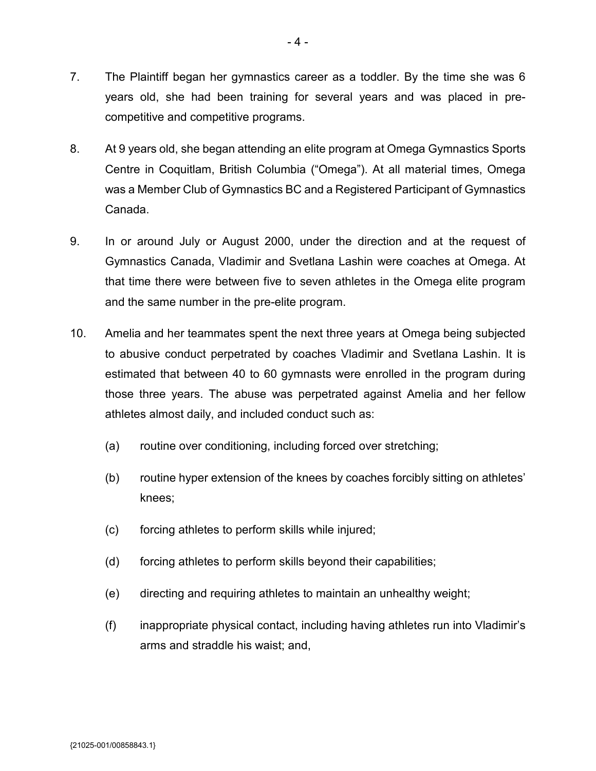- 7. The Plaintiff began her gymnastics career as a toddler. By the time she was 6 years old, she had been training for several years and was placed in precompetitive and competitive programs.
- 8. At 9 years old, she began attending an elite program at Omega Gymnastics Sports Centre in Coquitlam, British Columbia ("Omega"). At all material times, Omega was a Member Club of Gymnastics BC and a Registered Participant of Gymnastics Canada.
- 9. In or around July or August 2000, under the direction and at the request of Gymnastics Canada, Vladimir and Svetlana Lashin were coaches at Omega. At that time there were between five to seven athletes in the Omega elite program and the same number in the pre-elite program.
- 10. Amelia and her teammates spent the next three years at Omega being subjected to abusive conduct perpetrated by coaches Vladimir and Svetlana Lashin. It is estimated that between 40 to 60 gymnasts were enrolled in the program during those three years. The abuse was perpetrated against Amelia and her fellow athletes almost daily, and included conduct such as:
	- (a) routine over conditioning, including forced over stretching;
	- (b) routine hyper extension of the knees by coaches forcibly sitting on athletes' knees;
	- (c) forcing athletes to perform skills while injured;
	- (d) forcing athletes to perform skills beyond their capabilities;
	- (e) directing and requiring athletes to maintain an unhealthy weight;
	- (f) inappropriate physical contact, including having athletes run into Vladimir's arms and straddle his waist; and,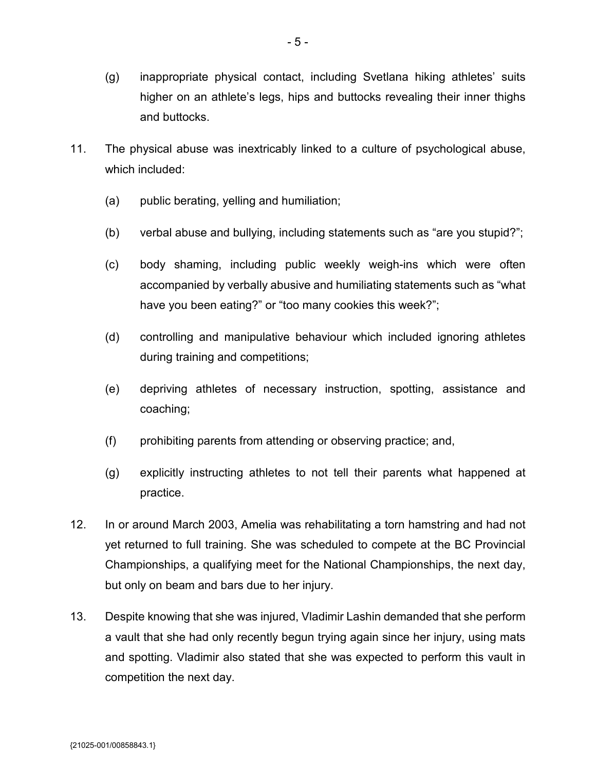- (g) inappropriate physical contact, including Svetlana hiking athletes' suits higher on an athlete's legs, hips and buttocks revealing their inner thighs and buttocks.
- 11. The physical abuse was inextricably linked to a culture of psychological abuse, which included:
	- (a) public berating, yelling and humiliation;
	- (b) verbal abuse and bullying, including statements such as "are you stupid?";
	- (c) body shaming, including public weekly weigh-ins which were often accompanied by verbally abusive and humiliating statements such as "what have you been eating?" or "too many cookies this week?";
	- (d) controlling and manipulative behaviour which included ignoring athletes during training and competitions;
	- (e) depriving athletes of necessary instruction, spotting, assistance and coaching;
	- (f) prohibiting parents from attending or observing practice; and,
	- (g) explicitly instructing athletes to not tell their parents what happened at practice.
- 12. In or around March 2003, Amelia was rehabilitating a torn hamstring and had not yet returned to full training. She was scheduled to compete at the BC Provincial Championships, a qualifying meet for the National Championships, the next day, but only on beam and bars due to her injury.
- 13. Despite knowing that she was injured, Vladimir Lashin demanded that she perform a vault that she had only recently begun trying again since her injury, using mats and spotting. Vladimir also stated that she was expected to perform this vault in competition the next day.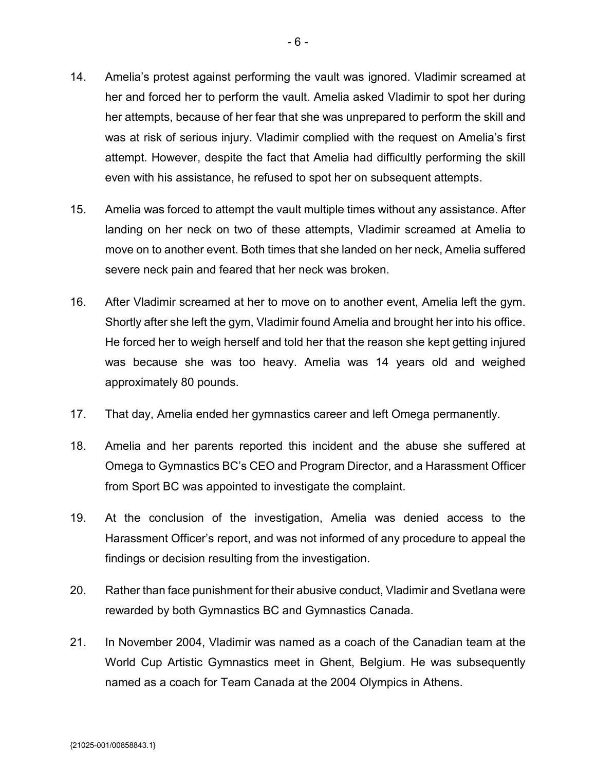- 14. Amelia's protest against performing the vault was ignored. Vladimir screamed at her and forced her to perform the vault. Amelia asked Vladimir to spot her during her attempts, because of her fear that she was unprepared to perform the skill and was at risk of serious injury. Vladimir complied with the request on Amelia's first attempt. However, despite the fact that Amelia had difficultly performing the skill even with his assistance, he refused to spot her on subsequent attempts.
- 15. Amelia was forced to attempt the vault multiple times without any assistance. After landing on her neck on two of these attempts, Vladimir screamed at Amelia to move on to another event. Both times that she landed on her neck, Amelia suffered severe neck pain and feared that her neck was broken.
- 16. After Vladimir screamed at her to move on to another event, Amelia left the gym. Shortly after she left the gym, Vladimir found Amelia and brought her into his office. He forced her to weigh herself and told her that the reason she kept getting injured was because she was too heavy. Amelia was 14 years old and weighed approximately 80 pounds.
- 17. That day, Amelia ended her gymnastics career and left Omega permanently.
- 18. Amelia and her parents reported this incident and the abuse she suffered at Omega to Gymnastics BC's CEO and Program Director, and a Harassment Officer from Sport BC was appointed to investigate the complaint.
- 19. At the conclusion of the investigation, Amelia was denied access to the Harassment Officer's report, and was not informed of any procedure to appeal the findings or decision resulting from the investigation.
- 20. Rather than face punishment for their abusive conduct, Vladimir and Svetlana were rewarded by both Gymnastics BC and Gymnastics Canada.
- 21. In November 2004, Vladimir was named as a coach of the Canadian team at the World Cup Artistic Gymnastics meet in Ghent, Belgium. He was subsequently named as a coach for Team Canada at the 2004 Olympics in Athens.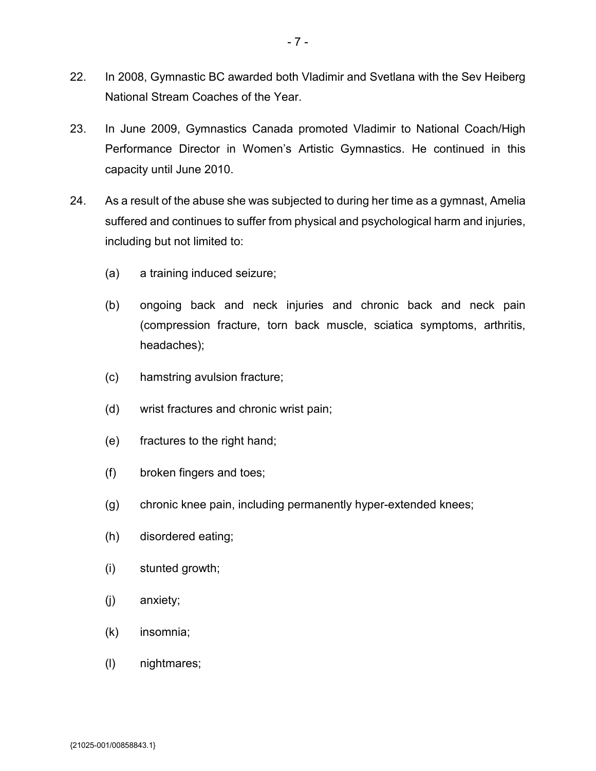- 22. In 2008, Gymnastic BC awarded both Vladimir and Svetlana with the Sev Heiberg National Stream Coaches of the Year.
- 23. In June 2009, Gymnastics Canada promoted Vladimir to National Coach/High Performance Director in Women's Artistic Gymnastics. He continued in this capacity until June 2010.
- 24. As a result of the abuse she was subjected to during her time as a gymnast, Amelia suffered and continues to suffer from physical and psychological harm and injuries, including but not limited to:
	- (a) a training induced seizure;
	- (b) ongoing back and neck injuries and chronic back and neck pain (compression fracture, torn back muscle, sciatica symptoms, arthritis, headaches);
	- (c) hamstring avulsion fracture;
	- (d) wrist fractures and chronic wrist pain;
	- (e) fractures to the right hand;
	- (f) broken fingers and toes;
	- (g) chronic knee pain, including permanently hyper-extended knees;
	- (h) disordered eating;
	- (i) stunted growth;
	- (j) anxiety;
	- (k) insomnia;
	- (l) nightmares;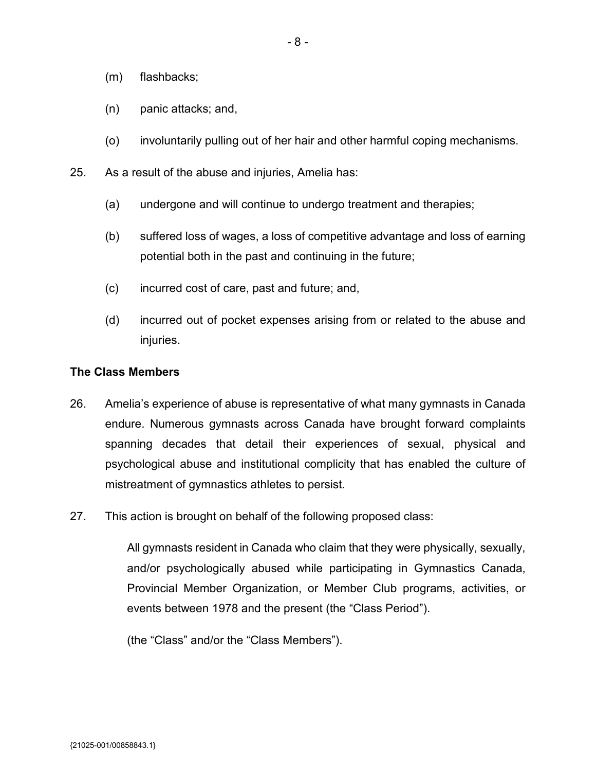- (m) flashbacks;
- (n) panic attacks; and,
- (o) involuntarily pulling out of her hair and other harmful coping mechanisms.
- 25. As a result of the abuse and injuries, Amelia has:
	- (a) undergone and will continue to undergo treatment and therapies;
	- (b) suffered loss of wages, a loss of competitive advantage and loss of earning potential both in the past and continuing in the future;
	- (c) incurred cost of care, past and future; and,
	- (d) incurred out of pocket expenses arising from or related to the abuse and injuries.

#### **The Class Members**

- 26. Amelia's experience of abuse is representative of what many gymnasts in Canada endure. Numerous gymnasts across Canada have brought forward complaints spanning decades that detail their experiences of sexual, physical and psychological abuse and institutional complicity that has enabled the culture of mistreatment of gymnastics athletes to persist.
- 27. This action is brought on behalf of the following proposed class:

All gymnasts resident in Canada who claim that they were physically, sexually, and/or psychologically abused while participating in Gymnastics Canada, Provincial Member Organization, or Member Club programs, activities, or events between 1978 and the present (the "Class Period").

(the "Class" and/or the "Class Members").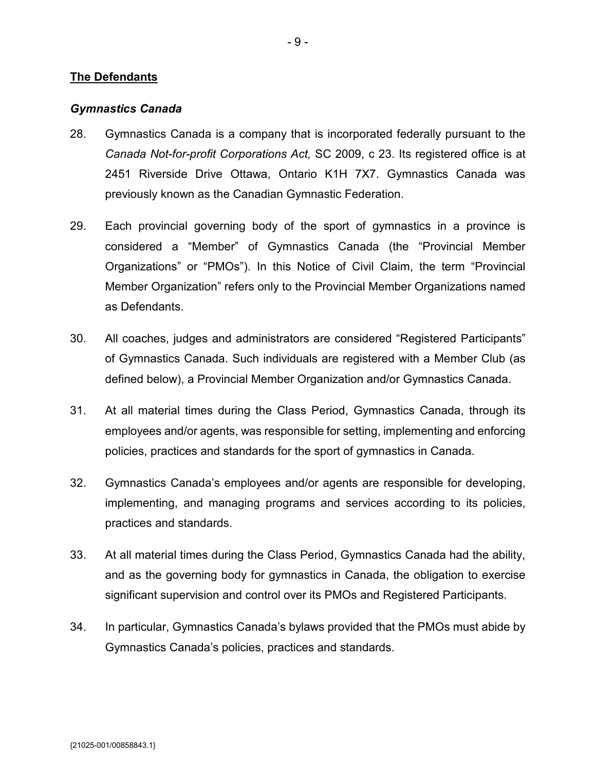### **The Defendants**

#### *Gymnastics Canada*

- 28. Gymnastics Canada is a company that is incorporated federally pursuant to the *Canada Not-for-profit Corporations Act,* SC 2009, c 23. Its registered office is at 2451 Riverside Drive Ottawa, Ontario K1H 7X7. Gymnastics Canada was previously known as the Canadian Gymnastic Federation.
- 29. Each provincial governing body of the sport of gymnastics in a province is considered a "Member" of Gymnastics Canada (the "Provincial Member Organizations" or "PMOs"). In this Notice of Civil Claim, the term "Provincial Member Organization" refers only to the Provincial Member Organizations named as Defendants.
- 30. All coaches, judges and administrators are considered "Registered Participants" of Gymnastics Canada. Such individuals are registered with a Member Club (as defined below), a Provincial Member Organization and/or Gymnastics Canada.
- 31. At all material times during the Class Period, Gymnastics Canada, through its employees and/or agents, was responsible for setting, implementing and enforcing policies, practices and standards for the sport of gymnastics in Canada.
- 32. Gymnastics Canada's employees and/or agents are responsible for developing, implementing, and managing programs and services according to its policies, practices and standards.
- 33. At all material times during the Class Period, Gymnastics Canada had the ability, and as the governing body for gymnastics in Canada, the obligation to exercise significant supervision and control over its PMOs and Registered Participants.
- 34. In particular, Gymnastics Canada's bylaws provided that the PMOs must abide by Gymnastics Canada's policies, practices and standards.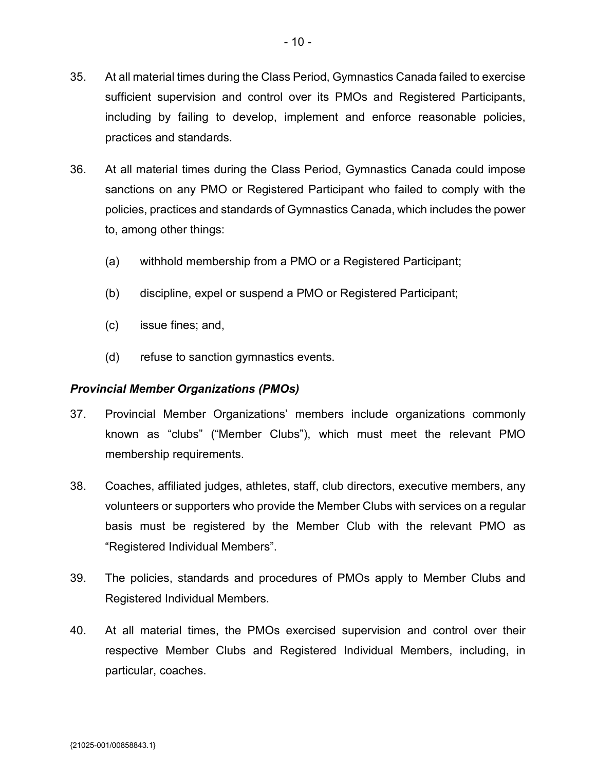- 36. At all material times during the Class Period, Gymnastics Canada could impose sanctions on any PMO or Registered Participant who failed to comply with the policies, practices and standards of Gymnastics Canada, which includes the power to, among other things:
	- (a) withhold membership from a PMO or a Registered Participant;
	- (b) discipline, expel or suspend a PMO or Registered Participant;
	- (c) issue fines; and,
	- (d) refuse to sanction gymnastics events.

# *Provincial Member Organizations (PMOs)*

- 37. Provincial Member Organizations' members include organizations commonly known as "clubs" ("Member Clubs"), which must meet the relevant PMO membership requirements.
- 38. Coaches, affiliated judges, athletes, staff, club directors, executive members, any volunteers or supporters who provide the Member Clubs with services on a regular basis must be registered by the Member Club with the relevant PMO as "Registered Individual Members".
- 39. The policies, standards and procedures of PMOs apply to Member Clubs and Registered Individual Members.
- 40. At all material times, the PMOs exercised supervision and control over their respective Member Clubs and Registered Individual Members, including, in particular, coaches.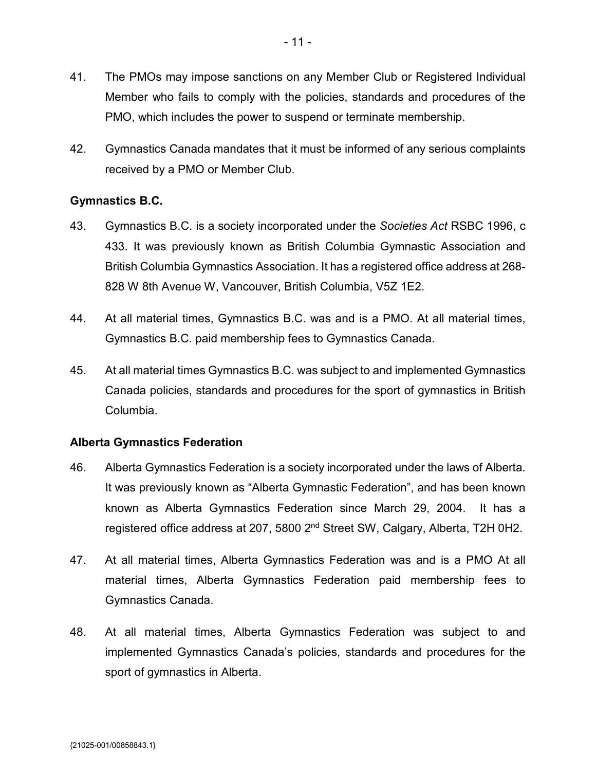- 41. The PMOs may impose sanctions on any Member Club or Registered Individual Member who fails to comply with the policies, standards and procedures of the PMO, which includes the power to suspend or terminate membership.
- 42. Gymnastics Canada mandates that it must be informed of any serious complaints received by a PMO or Member Club.

# **Gymnastics B.C.**

- 43. Gymnastics B.C. is a society incorporated under the *Societies Act* RSBC 1996, c 433. It was previously known as British Columbia Gymnastic Association and British Columbia Gymnastics Association. It has a registered office address at 268- 828 W 8th Avenue W, Vancouver, British Columbia, V5Z 1E2.
- 44. At all material times, Gymnastics B.C. was and is a PMO. At all material times, Gymnastics B.C. paid membership fees to Gymnastics Canada.
- 45. At all material times Gymnastics B.C. was subject to and implemented Gymnastics Canada policies, standards and procedures for the sport of gymnastics in British Columbia.

## **Alberta Gymnastics Federation**

- 46. Alberta Gymnastics Federation is a society incorporated under the laws of Alberta. It was previously known as "Alberta Gymnastic Federation", and has been known known as Alberta Gymnastics Federation since March 29, 2004. It has a registered office address at 207, 5800 2<sup>nd</sup> Street SW, Calgary, Alberta, T2H 0H2.
- 47. At all material times, Alberta Gymnastics Federation was and is a PMO At all material times, Alberta Gymnastics Federation paid membership fees to Gymnastics Canada.
- 48. At all material times, Alberta Gymnastics Federation was subject to and implemented Gymnastics Canada's policies, standards and procedures for the sport of gymnastics in Alberta.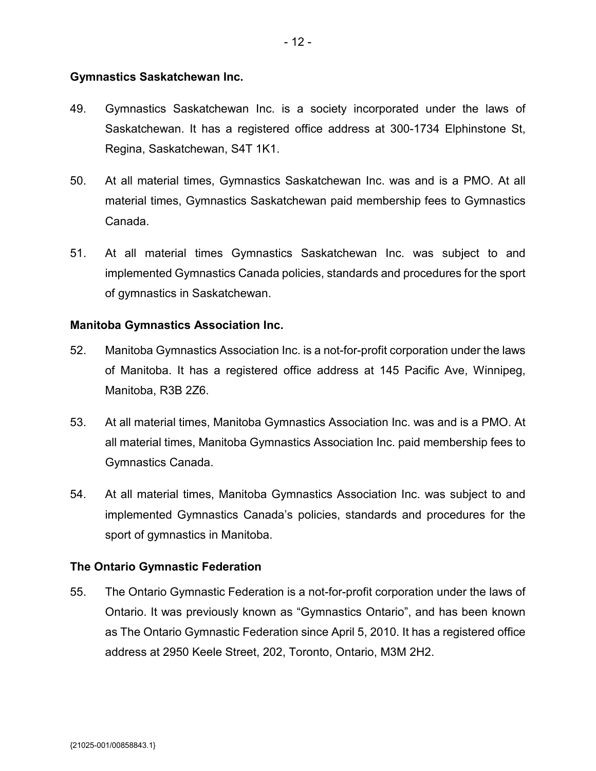### **Gymnastics Saskatchewan Inc.**

- 49. Gymnastics Saskatchewan Inc. is a society incorporated under the laws of Saskatchewan. It has a registered office address at 300-1734 Elphinstone St, Regina, Saskatchewan, S4T 1K1.
- 50. At all material times, Gymnastics Saskatchewan Inc. was and is a PMO. At all material times, Gymnastics Saskatchewan paid membership fees to Gymnastics Canada.
- 51. At all material times Gymnastics Saskatchewan Inc. was subject to and implemented Gymnastics Canada policies, standards and procedures for the sport of gymnastics in Saskatchewan.

### **Manitoba Gymnastics Association Inc.**

- 52. Manitoba Gymnastics Association Inc. is a not-for-profit corporation under the laws of Manitoba. It has a registered office address at 145 Pacific Ave, Winnipeg, Manitoba, R3B 2Z6.
- 53. At all material times, Manitoba Gymnastics Association Inc. was and is a PMO. At all material times, Manitoba Gymnastics Association Inc. paid membership fees to Gymnastics Canada.
- 54. At all material times, Manitoba Gymnastics Association Inc. was subject to and implemented Gymnastics Canada's policies, standards and procedures for the sport of gymnastics in Manitoba.

#### **The Ontario Gymnastic Federation**

55. The Ontario Gymnastic Federation is a not-for-profit corporation under the laws of Ontario. It was previously known as "Gymnastics Ontario", and has been known as The Ontario Gymnastic Federation since April 5, 2010. It has a registered office address at 2950 Keele Street, 202, Toronto, Ontario, M3M 2H2.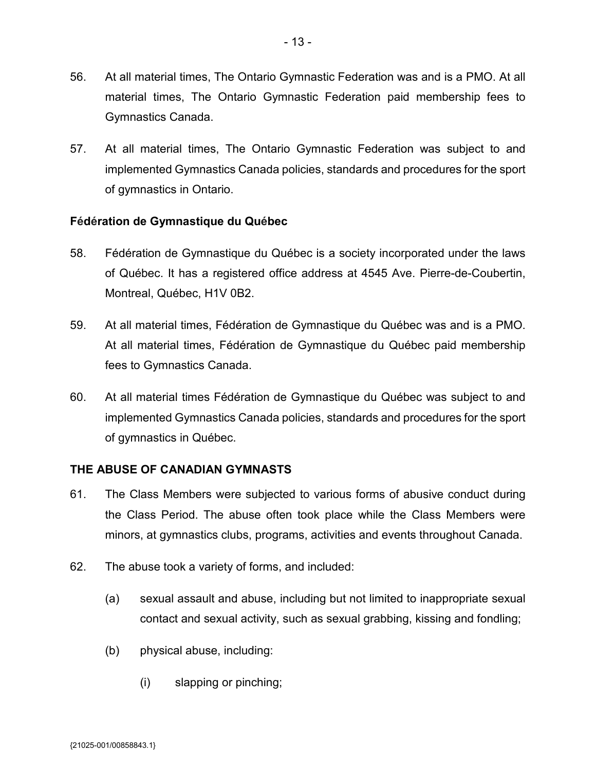- 56. At all material times, The Ontario Gymnastic Federation was and is a PMO. At all material times, The Ontario Gymnastic Federation paid membership fees to Gymnastics Canada.
- 57. At all material times, The Ontario Gymnastic Federation was subject to and implemented Gymnastics Canada policies, standards and procedures for the sport of gymnastics in Ontario.

# **Fédération de Gymnastique du Québec**

- 58. Fédération de Gymnastique du Québec is a society incorporated under the laws of Québec. It has a registered office address at 4545 Ave. Pierre-de-Coubertin, Montreal, Québec, H1V 0B2.
- 59. At all material times, Fédération de Gymnastique du Québec was and is a PMO. At all material times, Fédération de Gymnastique du Québec paid membership fees to Gymnastics Canada.
- 60. At all material times Fédération de Gymnastique du Québec was subject to and implemented Gymnastics Canada policies, standards and procedures for the sport of gymnastics in Québec.

## **THE ABUSE OF CANADIAN GYMNASTS**

- 61. The Class Members were subjected to various forms of abusive conduct during the Class Period. The abuse often took place while the Class Members were minors, at gymnastics clubs, programs, activities and events throughout Canada.
- 62. The abuse took a variety of forms, and included:
	- (a) sexual assault and abuse, including but not limited to inappropriate sexual contact and sexual activity, such as sexual grabbing, kissing and fondling;
	- (b) physical abuse, including:
		- (i) slapping or pinching;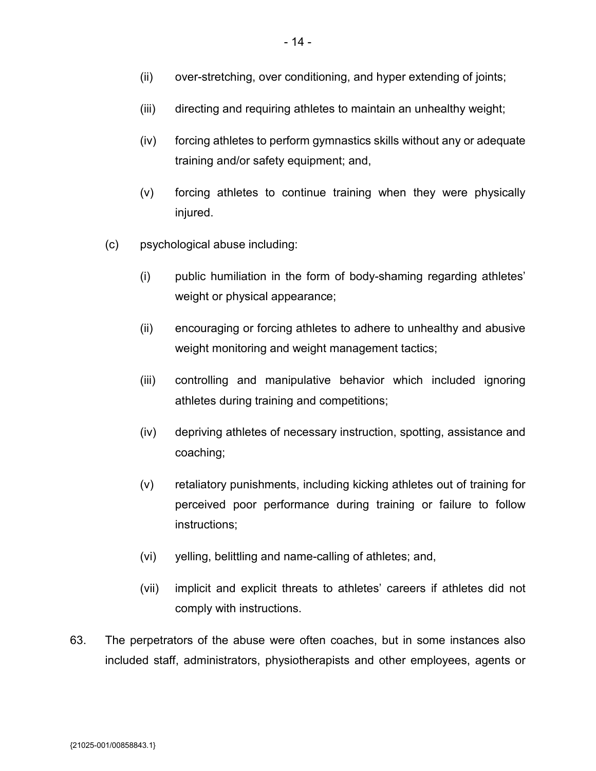- (iii) directing and requiring athletes to maintain an unhealthy weight;
- (iv) forcing athletes to perform gymnastics skills without any or adequate training and/or safety equipment; and,
- (v) forcing athletes to continue training when they were physically injured.
- (c) psychological abuse including:
	- (i) public humiliation in the form of body-shaming regarding athletes' weight or physical appearance;
	- (ii) encouraging or forcing athletes to adhere to unhealthy and abusive weight monitoring and weight management tactics;
	- (iii) controlling and manipulative behavior which included ignoring athletes during training and competitions;
	- (iv) depriving athletes of necessary instruction, spotting, assistance and coaching;
	- (v) retaliatory punishments, including kicking athletes out of training for perceived poor performance during training or failure to follow instructions;
	- (vi) yelling, belittling and name-calling of athletes; and,
	- (vii) implicit and explicit threats to athletes' careers if athletes did not comply with instructions.
- 63. The perpetrators of the abuse were often coaches, but in some instances also included staff, administrators, physiotherapists and other employees, agents or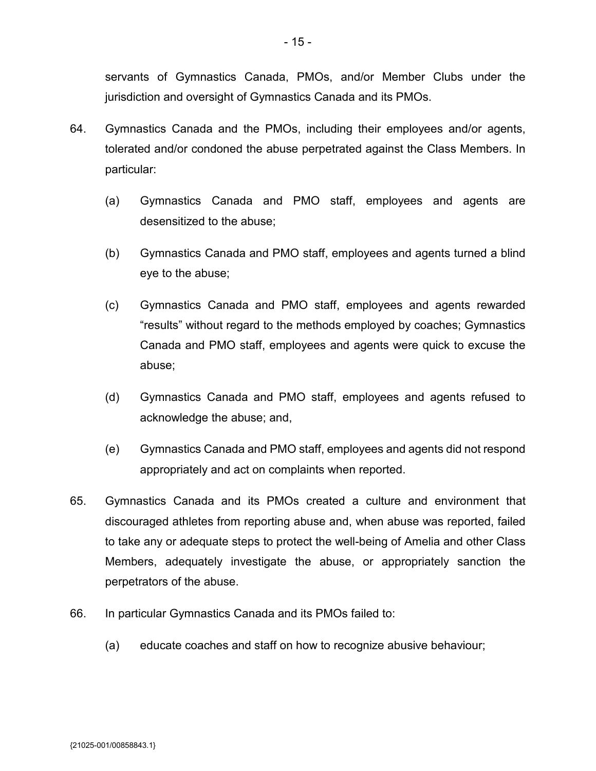servants of Gymnastics Canada, PMOs, and/or Member Clubs under the jurisdiction and oversight of Gymnastics Canada and its PMOs.

- 64. Gymnastics Canada and the PMOs, including their employees and/or agents, tolerated and/or condoned the abuse perpetrated against the Class Members. In particular:
	- (a) Gymnastics Canada and PMO staff, employees and agents are desensitized to the abuse;
	- (b) Gymnastics Canada and PMO staff, employees and agents turned a blind eye to the abuse;
	- (c) Gymnastics Canada and PMO staff, employees and agents rewarded "results" without regard to the methods employed by coaches; Gymnastics Canada and PMO staff, employees and agents were quick to excuse the abuse;
	- (d) Gymnastics Canada and PMO staff, employees and agents refused to acknowledge the abuse; and,
	- (e) Gymnastics Canada and PMO staff, employees and agents did not respond appropriately and act on complaints when reported.
- 65. Gymnastics Canada and its PMOs created a culture and environment that discouraged athletes from reporting abuse and, when abuse was reported, failed to take any or adequate steps to protect the well-being of Amelia and other Class Members, adequately investigate the abuse, or appropriately sanction the perpetrators of the abuse.
- 66. In particular Gymnastics Canada and its PMOs failed to:
	- (a) educate coaches and staff on how to recognize abusive behaviour;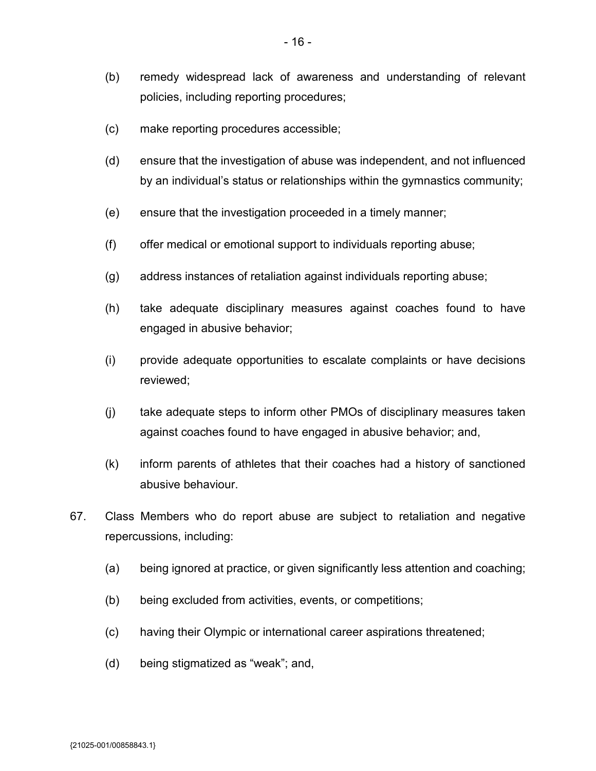- (b) remedy widespread lack of awareness and understanding of relevant policies, including reporting procedures;
- (c) make reporting procedures accessible;
- (d) ensure that the investigation of abuse was independent, and not influenced by an individual's status or relationships within the gymnastics community;
- (e) ensure that the investigation proceeded in a timely manner;
- (f) offer medical or emotional support to individuals reporting abuse;
- (g) address instances of retaliation against individuals reporting abuse;
- (h) take adequate disciplinary measures against coaches found to have engaged in abusive behavior;
- (i) provide adequate opportunities to escalate complaints or have decisions reviewed;
- (j) take adequate steps to inform other PMOs of disciplinary measures taken against coaches found to have engaged in abusive behavior; and,
- (k) inform parents of athletes that their coaches had a history of sanctioned abusive behaviour.
- 67. Class Members who do report abuse are subject to retaliation and negative repercussions, including:
	- (a) being ignored at practice, or given significantly less attention and coaching;
	- (b) being excluded from activities, events, or competitions;
	- (c) having their Olympic or international career aspirations threatened;
	- (d) being stigmatized as "weak"; and,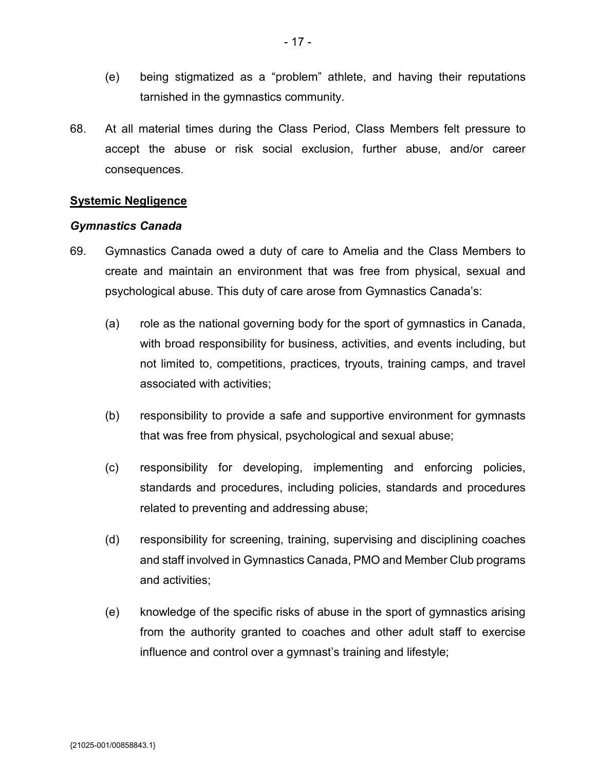- (e) being stigmatized as a "problem" athlete, and having their reputations tarnished in the gymnastics community.
- 68. At all material times during the Class Period, Class Members felt pressure to accept the abuse or risk social exclusion, further abuse, and/or career consequences.

### **Systemic Negligence**

#### *Gymnastics Canada*

- 69. Gymnastics Canada owed a duty of care to Amelia and the Class Members to create and maintain an environment that was free from physical, sexual and psychological abuse. This duty of care arose from Gymnastics Canada's:
	- (a) role as the national governing body for the sport of gymnastics in Canada, with broad responsibility for business, activities, and events including, but not limited to, competitions, practices, tryouts, training camps, and travel associated with activities;
	- (b) responsibility to provide a safe and supportive environment for gymnasts that was free from physical, psychological and sexual abuse;
	- (c) responsibility for developing, implementing and enforcing policies, standards and procedures, including policies, standards and procedures related to preventing and addressing abuse;
	- (d) responsibility for screening, training, supervising and disciplining coaches and staff involved in Gymnastics Canada, PMO and Member Club programs and activities;
	- (e) knowledge of the specific risks of abuse in the sport of gymnastics arising from the authority granted to coaches and other adult staff to exercise influence and control over a gymnast's training and lifestyle;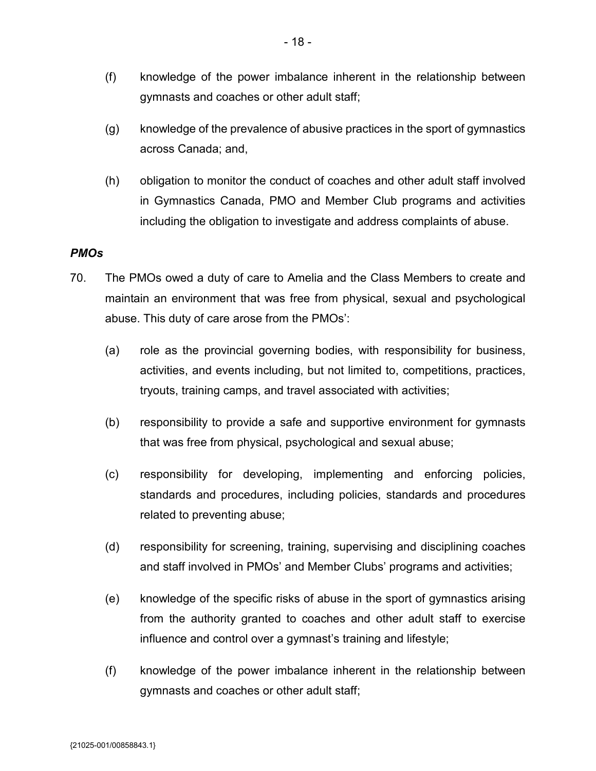- (f) knowledge of the power imbalance inherent in the relationship between gymnasts and coaches or other adult staff;
- (g) knowledge of the prevalence of abusive practices in the sport of gymnastics across Canada; and,
- (h) obligation to monitor the conduct of coaches and other adult staff involved in Gymnastics Canada, PMO and Member Club programs and activities including the obligation to investigate and address complaints of abuse.

## *PMOs*

- 70. The PMOs owed a duty of care to Amelia and the Class Members to create and maintain an environment that was free from physical, sexual and psychological abuse. This duty of care arose from the PMOs':
	- (a) role as the provincial governing bodies, with responsibility for business, activities, and events including, but not limited to, competitions, practices, tryouts, training camps, and travel associated with activities;
	- (b) responsibility to provide a safe and supportive environment for gymnasts that was free from physical, psychological and sexual abuse;
	- (c) responsibility for developing, implementing and enforcing policies, standards and procedures, including policies, standards and procedures related to preventing abuse;
	- (d) responsibility for screening, training, supervising and disciplining coaches and staff involved in PMOs' and Member Clubs' programs and activities;
	- (e) knowledge of the specific risks of abuse in the sport of gymnastics arising from the authority granted to coaches and other adult staff to exercise influence and control over a gymnast's training and lifestyle;
	- (f) knowledge of the power imbalance inherent in the relationship between gymnasts and coaches or other adult staff;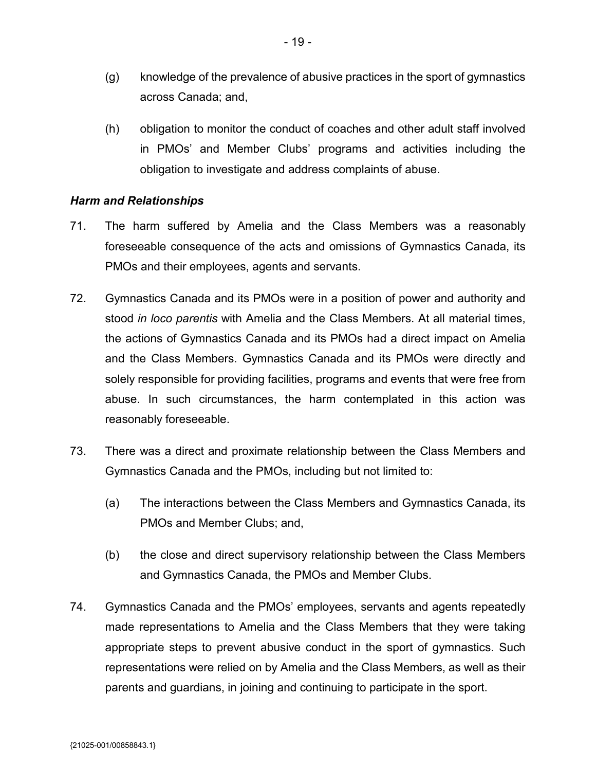- (g) knowledge of the prevalence of abusive practices in the sport of gymnastics across Canada; and,
- (h) obligation to monitor the conduct of coaches and other adult staff involved in PMOs' and Member Clubs' programs and activities including the obligation to investigate and address complaints of abuse.

### *Harm and Relationships*

- 71. The harm suffered by Amelia and the Class Members was a reasonably foreseeable consequence of the acts and omissions of Gymnastics Canada, its PMOs and their employees, agents and servants.
- 72. Gymnastics Canada and its PMOs were in a position of power and authority and stood *in loco parentis* with Amelia and the Class Members. At all material times, the actions of Gymnastics Canada and its PMOs had a direct impact on Amelia and the Class Members. Gymnastics Canada and its PMOs were directly and solely responsible for providing facilities, programs and events that were free from abuse. In such circumstances, the harm contemplated in this action was reasonably foreseeable.
- 73. There was a direct and proximate relationship between the Class Members and Gymnastics Canada and the PMOs, including but not limited to:
	- (a) The interactions between the Class Members and Gymnastics Canada, its PMOs and Member Clubs; and,
	- (b) the close and direct supervisory relationship between the Class Members and Gymnastics Canada, the PMOs and Member Clubs.
- 74. Gymnastics Canada and the PMOs' employees, servants and agents repeatedly made representations to Amelia and the Class Members that they were taking appropriate steps to prevent abusive conduct in the sport of gymnastics. Such representations were relied on by Amelia and the Class Members, as well as their parents and guardians, in joining and continuing to participate in the sport.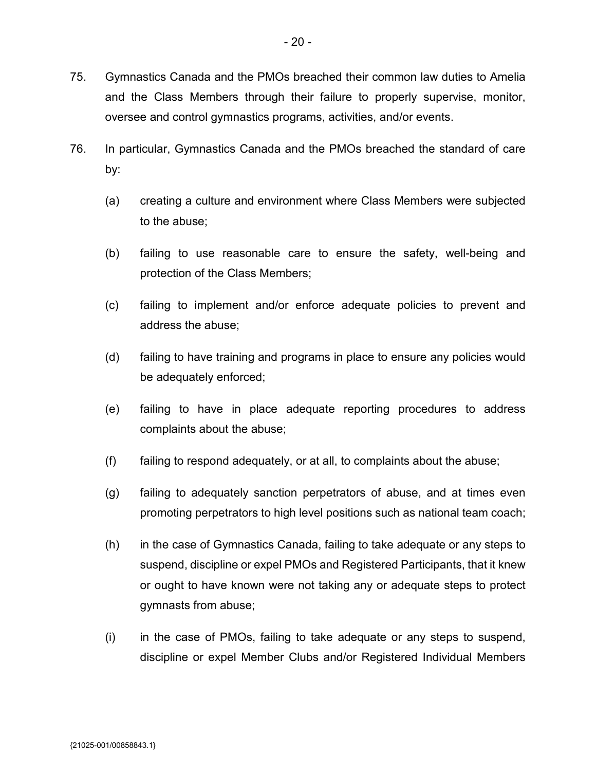- 75. Gymnastics Canada and the PMOs breached their common law duties to Amelia and the Class Members through their failure to properly supervise, monitor, oversee and control gymnastics programs, activities, and/or events.
- 76. In particular, Gymnastics Canada and the PMOs breached the standard of care by:
	- (a) creating a culture and environment where Class Members were subjected to the abuse;
	- (b) failing to use reasonable care to ensure the safety, well-being and protection of the Class Members;
	- (c) failing to implement and/or enforce adequate policies to prevent and address the abuse;
	- (d) failing to have training and programs in place to ensure any policies would be adequately enforced;
	- (e) failing to have in place adequate reporting procedures to address complaints about the abuse;
	- $(f)$  failing to respond adequately, or at all, to complaints about the abuse;
	- (g) failing to adequately sanction perpetrators of abuse, and at times even promoting perpetrators to high level positions such as national team coach;
	- (h) in the case of Gymnastics Canada, failing to take adequate or any steps to suspend, discipline or expel PMOs and Registered Participants, that it knew or ought to have known were not taking any or adequate steps to protect gymnasts from abuse;
	- (i) in the case of PMOs, failing to take adequate or any steps to suspend, discipline or expel Member Clubs and/or Registered Individual Members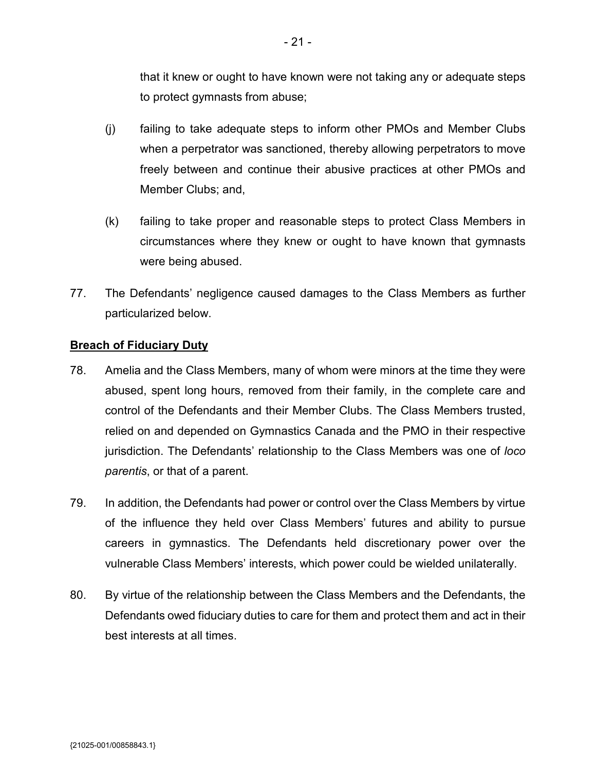that it knew or ought to have known were not taking any or adequate steps to protect gymnasts from abuse;

- (j) failing to take adequate steps to inform other PMOs and Member Clubs when a perpetrator was sanctioned, thereby allowing perpetrators to move freely between and continue their abusive practices at other PMOs and Member Clubs; and,
- (k) failing to take proper and reasonable steps to protect Class Members in circumstances where they knew or ought to have known that gymnasts were being abused.
- 77. The Defendants' negligence caused damages to the Class Members as further particularized below.

## **Breach of Fiduciary Duty**

- 78. Amelia and the Class Members, many of whom were minors at the time they were abused, spent long hours, removed from their family, in the complete care and control of the Defendants and their Member Clubs. The Class Members trusted, relied on and depended on Gymnastics Canada and the PMO in their respective jurisdiction. The Defendants' relationship to the Class Members was one of *loco parentis*, or that of a parent.
- 79. In addition, the Defendants had power or control over the Class Members by virtue of the influence they held over Class Members' futures and ability to pursue careers in gymnastics. The Defendants held discretionary power over the vulnerable Class Members' interests, which power could be wielded unilaterally.
- 80. By virtue of the relationship between the Class Members and the Defendants, the Defendants owed fiduciary duties to care for them and protect them and act in their best interests at all times.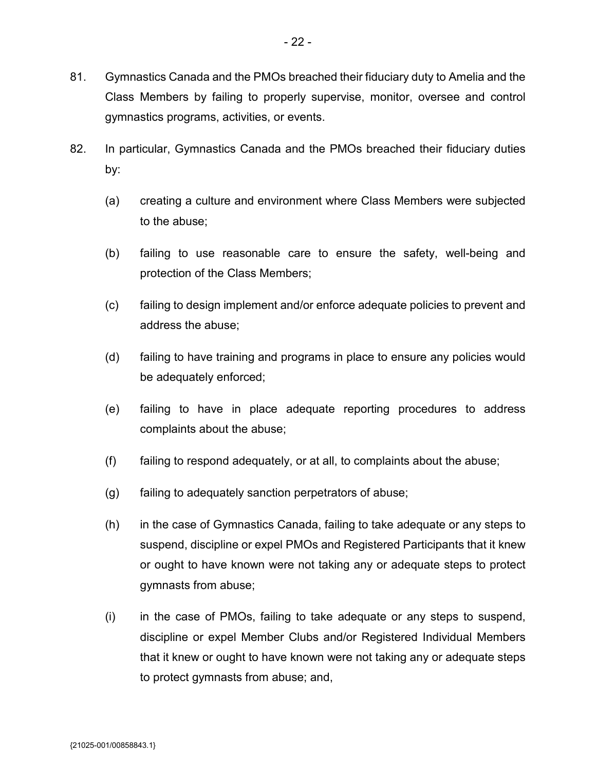gymnastics programs, activities, or events.

- 82. In particular, Gymnastics Canada and the PMOs breached their fiduciary duties by:
	- (a) creating a culture and environment where Class Members were subjected to the abuse;
	- (b) failing to use reasonable care to ensure the safety, well-being and protection of the Class Members;
	- (c) failing to design implement and/or enforce adequate policies to prevent and address the abuse;
	- (d) failing to have training and programs in place to ensure any policies would be adequately enforced;
	- (e) failing to have in place adequate reporting procedures to address complaints about the abuse;
	- $(f)$  failing to respond adequately, or at all, to complaints about the abuse;
	- (g) failing to adequately sanction perpetrators of abuse;
	- (h) in the case of Gymnastics Canada, failing to take adequate or any steps to suspend, discipline or expel PMOs and Registered Participants that it knew or ought to have known were not taking any or adequate steps to protect gymnasts from abuse;
	- (i) in the case of PMOs, failing to take adequate or any steps to suspend, discipline or expel Member Clubs and/or Registered Individual Members that it knew or ought to have known were not taking any or adequate steps to protect gymnasts from abuse; and,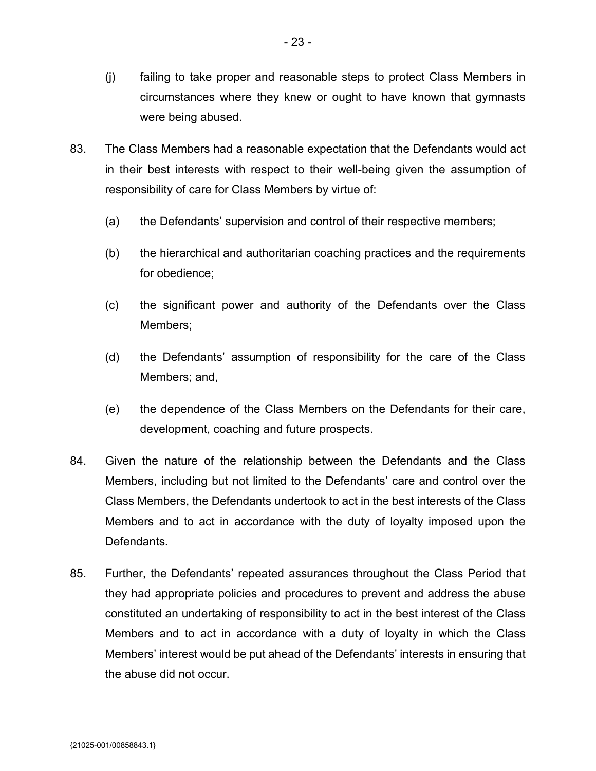- (j) failing to take proper and reasonable steps to protect Class Members in circumstances where they knew or ought to have known that gymnasts were being abused.
- 83. The Class Members had a reasonable expectation that the Defendants would act in their best interests with respect to their well-being given the assumption of responsibility of care for Class Members by virtue of:
	- (a) the Defendants' supervision and control of their respective members;
	- (b) the hierarchical and authoritarian coaching practices and the requirements for obedience;
	- (c) the significant power and authority of the Defendants over the Class Members;
	- (d) the Defendants' assumption of responsibility for the care of the Class Members; and,
	- (e) the dependence of the Class Members on the Defendants for their care, development, coaching and future prospects.
- 84. Given the nature of the relationship between the Defendants and the Class Members, including but not limited to the Defendants' care and control over the Class Members, the Defendants undertook to act in the best interests of the Class Members and to act in accordance with the duty of loyalty imposed upon the Defendants.
- 85. Further, the Defendants' repeated assurances throughout the Class Period that they had appropriate policies and procedures to prevent and address the abuse constituted an undertaking of responsibility to act in the best interest of the Class Members and to act in accordance with a duty of loyalty in which the Class Members' interest would be put ahead of the Defendants' interests in ensuring that the abuse did not occur.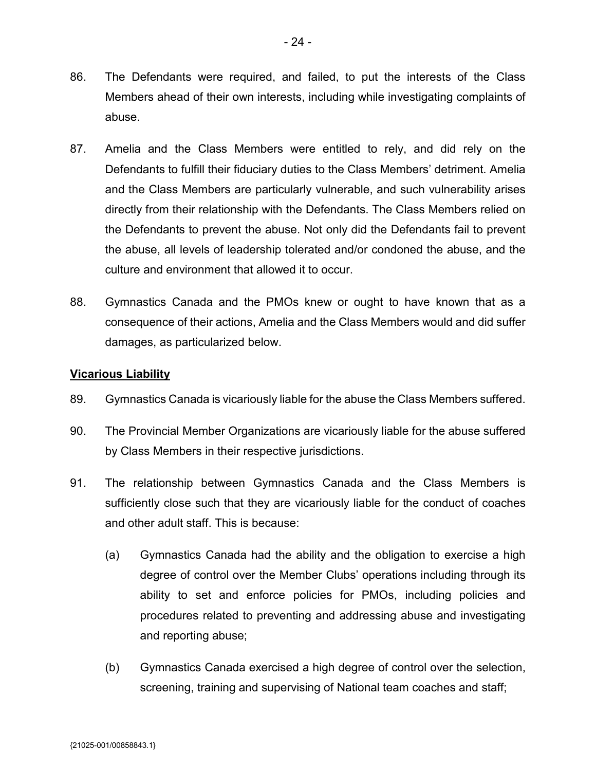- 86. The Defendants were required, and failed, to put the interests of the Class Members ahead of their own interests, including while investigating complaints of abuse.
- 87. Amelia and the Class Members were entitled to rely, and did rely on the Defendants to fulfill their fiduciary duties to the Class Members' detriment. Amelia and the Class Members are particularly vulnerable, and such vulnerability arises directly from their relationship with the Defendants. The Class Members relied on the Defendants to prevent the abuse. Not only did the Defendants fail to prevent the abuse, all levels of leadership tolerated and/or condoned the abuse, and the culture and environment that allowed it to occur.
- 88. Gymnastics Canada and the PMOs knew or ought to have known that as a consequence of their actions, Amelia and the Class Members would and did suffer damages, as particularized below.

## **Vicarious Liability**

- 89. Gymnastics Canada is vicariously liable for the abuse the Class Members suffered.
- 90. The Provincial Member Organizations are vicariously liable for the abuse suffered by Class Members in their respective jurisdictions.
- 91. The relationship between Gymnastics Canada and the Class Members is sufficiently close such that they are vicariously liable for the conduct of coaches and other adult staff. This is because:
	- (a) Gymnastics Canada had the ability and the obligation to exercise a high degree of control over the Member Clubs' operations including through its ability to set and enforce policies for PMOs, including policies and procedures related to preventing and addressing abuse and investigating and reporting abuse;
	- (b) Gymnastics Canada exercised a high degree of control over the selection, screening, training and supervising of National team coaches and staff;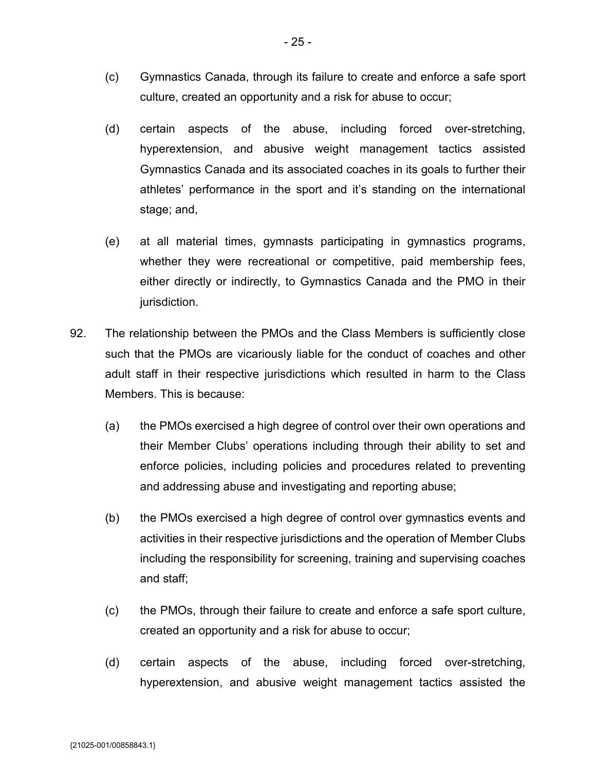- (c) Gymnastics Canada, through its failure to create and enforce a safe sport culture, created an opportunity and a risk for abuse to occur;
- (d) certain aspects of the abuse, including forced over-stretching, hyperextension, and abusive weight management tactics assisted Gymnastics Canada and its associated coaches in its goals to further their athletes' performance in the sport and it's standing on the international stage; and,
- (e) at all material times, gymnasts participating in gymnastics programs, whether they were recreational or competitive, paid membership fees, either directly or indirectly, to Gymnastics Canada and the PMO in their jurisdiction.
- 92. The relationship between the PMOs and the Class Members is sufficiently close such that the PMOs are vicariously liable for the conduct of coaches and other adult staff in their respective jurisdictions which resulted in harm to the Class Members. This is because:
	- (a) the PMOs exercised a high degree of control over their own operations and their Member Clubs' operations including through their ability to set and enforce policies, including policies and procedures related to preventing and addressing abuse and investigating and reporting abuse;
	- (b) the PMOs exercised a high degree of control over gymnastics events and activities in their respective jurisdictions and the operation of Member Clubs including the responsibility for screening, training and supervising coaches and staff;
	- (c) the PMOs, through their failure to create and enforce a safe sport culture, created an opportunity and a risk for abuse to occur;
	- (d) certain aspects of the abuse, including forced over-stretching, hyperextension, and abusive weight management tactics assisted the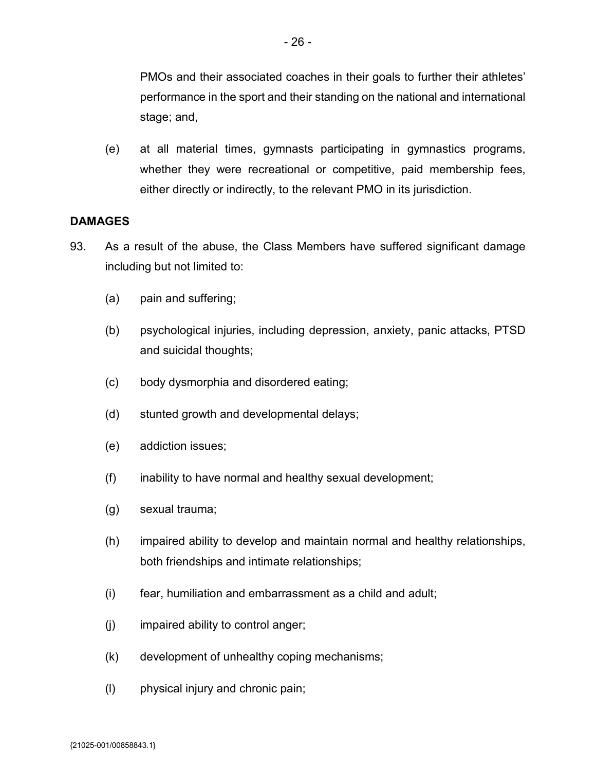PMOs and their associated coaches in their goals to further their athletes' performance in the sport and their standing on the national and international stage; and,

(e) at all material times, gymnasts participating in gymnastics programs, whether they were recreational or competitive, paid membership fees, either directly or indirectly, to the relevant PMO in its jurisdiction.

# **DAMAGES**

- 93. As a result of the abuse, the Class Members have suffered significant damage including but not limited to:
	- (a) pain and suffering;
	- (b) psychological injuries, including depression, anxiety, panic attacks, PTSD and suicidal thoughts;
	- (c) body dysmorphia and disordered eating;
	- (d) stunted growth and developmental delays;
	- (e) addiction issues;
	- (f) inability to have normal and healthy sexual development;
	- (g) sexual trauma;
	- (h) impaired ability to develop and maintain normal and healthy relationships, both friendships and intimate relationships;
	- (i) fear, humiliation and embarrassment as a child and adult;
	- (j) impaired ability to control anger;
	- (k) development of unhealthy coping mechanisms;
	- (l) physical injury and chronic pain;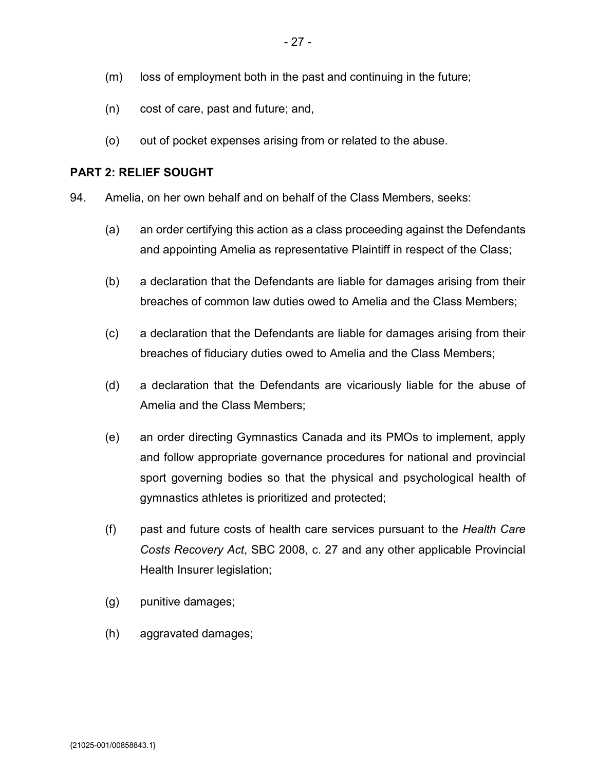- (m) loss of employment both in the past and continuing in the future;
- (n) cost of care, past and future; and,
- (o) out of pocket expenses arising from or related to the abuse.

## **PART 2: RELIEF SOUGHT**

94. Amelia, on her own behalf and on behalf of the Class Members, seeks:

- (a) an order certifying this action as a class proceeding against the Defendants and appointing Amelia as representative Plaintiff in respect of the Class;
- (b) a declaration that the Defendants are liable for damages arising from their breaches of common law duties owed to Amelia and the Class Members;
- (c) a declaration that the Defendants are liable for damages arising from their breaches of fiduciary duties owed to Amelia and the Class Members;
- (d) a declaration that the Defendants are vicariously liable for the abuse of Amelia and the Class Members;
- (e) an order directing Gymnastics Canada and its PMOs to implement, apply and follow appropriate governance procedures for national and provincial sport governing bodies so that the physical and psychological health of gymnastics athletes is prioritized and protected;
- (f) past and future costs of health care services pursuant to the *Health Care Costs Recovery Act*, SBC 2008, c. 27 and any other applicable Provincial Health Insurer legislation;
- (g) punitive damages;
- (h) aggravated damages;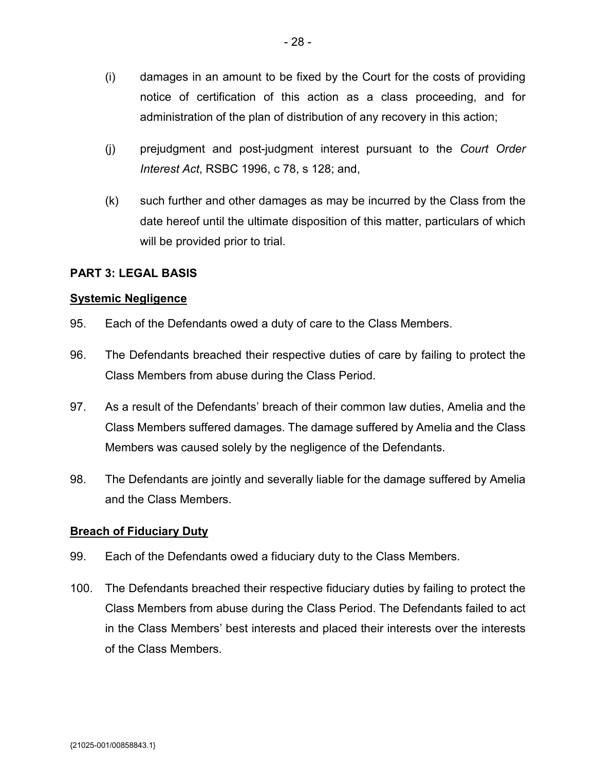- (i) damages in an amount to be fixed by the Court for the costs of providing notice of certification of this action as a class proceeding, and for administration of the plan of distribution of any recovery in this action;
- (j) prejudgment and post-judgment interest pursuant to the *Court Order Interest Act*, RSBC 1996, c 78, s 128; and,
- (k) such further and other damages as may be incurred by the Class from the date hereof until the ultimate disposition of this matter, particulars of which will be provided prior to trial.

## **PART 3: LEGAL BASIS**

### **Systemic Negligence**

- 95. Each of the Defendants owed a duty of care to the Class Members.
- 96. The Defendants breached their respective duties of care by failing to protect the Class Members from abuse during the Class Period.
- 97. As a result of the Defendants' breach of their common law duties, Amelia and the Class Members suffered damages. The damage suffered by Amelia and the Class Members was caused solely by the negligence of the Defendants.
- 98. The Defendants are jointly and severally liable for the damage suffered by Amelia and the Class Members.

#### **Breach of Fiduciary Duty**

- 99. Each of the Defendants owed a fiduciary duty to the Class Members.
- 100. The Defendants breached their respective fiduciary duties by failing to protect the Class Members from abuse during the Class Period. The Defendants failed to act in the Class Members' best interests and placed their interests over the interests of the Class Members.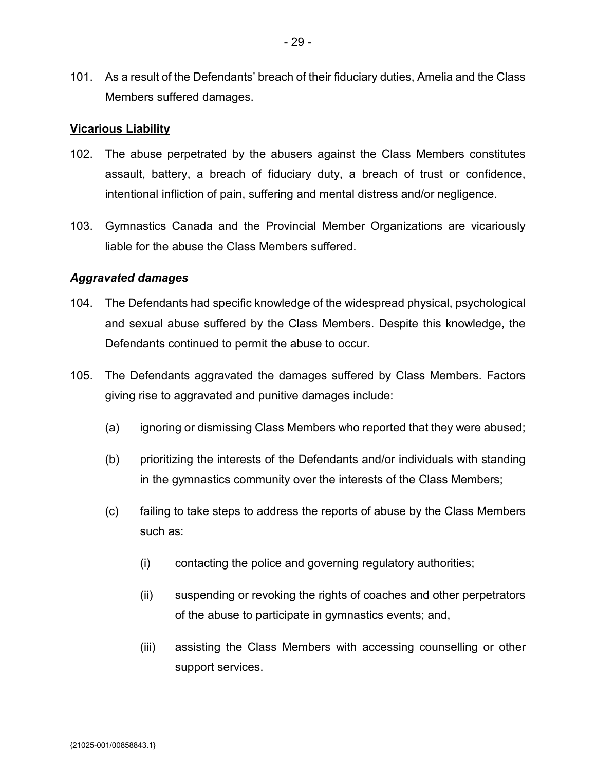101. As a result of the Defendants' breach of their fiduciary duties, Amelia and the Class Members suffered damages.

#### **Vicarious Liability**

- 102. The abuse perpetrated by the abusers against the Class Members constitutes assault, battery, a breach of fiduciary duty, a breach of trust or confidence, intentional infliction of pain, suffering and mental distress and/or negligence.
- 103. Gymnastics Canada and the Provincial Member Organizations are vicariously liable for the abuse the Class Members suffered.

#### *Aggravated damages*

- 104. The Defendants had specific knowledge of the widespread physical, psychological and sexual abuse suffered by the Class Members. Despite this knowledge, the Defendants continued to permit the abuse to occur.
- 105. The Defendants aggravated the damages suffered by Class Members. Factors giving rise to aggravated and punitive damages include:
	- (a) ignoring or dismissing Class Members who reported that they were abused;
	- (b) prioritizing the interests of the Defendants and/or individuals with standing in the gymnastics community over the interests of the Class Members;
	- (c) failing to take steps to address the reports of abuse by the Class Members such as:
		- (i) contacting the police and governing regulatory authorities;
		- (ii) suspending or revoking the rights of coaches and other perpetrators of the abuse to participate in gymnastics events; and,
		- (iii) assisting the Class Members with accessing counselling or other support services.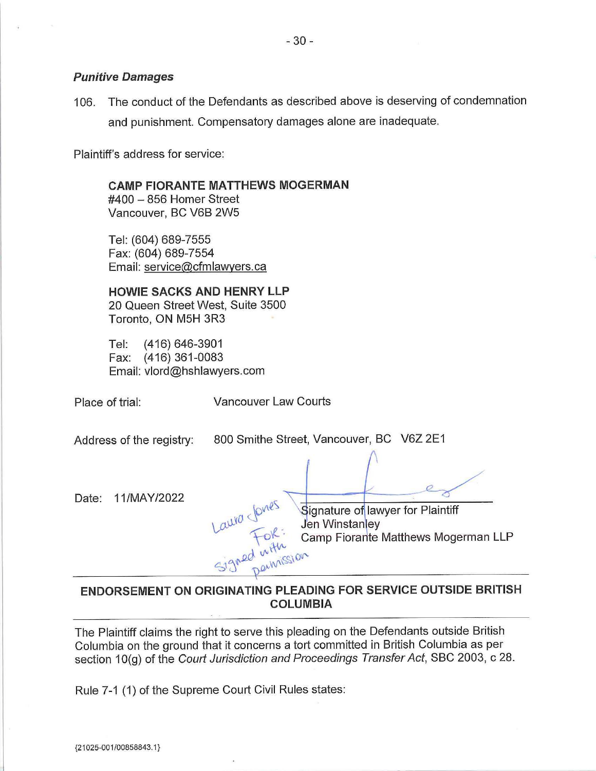#### **Punitive Damages**

106. The conduct of the Defendants as described above is deserving of condemnation and punishment. Compensatory damages alone are inadequate.

Plaintiff's address for service:

#### **CAMP FIORANTE MATTHEWS MOGERMAN**

#400 - 856 Homer Street Vancouver, BC V6B 2W5

Tel: (604) 689-7555 Fax: (604) 689-7554 Email: service@cfmlawyers.ca

**HOWIE SACKS AND HENRY LLP**  20 Queen Street West, Suite 3500

Toronto, ON M5H 3R3

Tel: (416) 646-3901 Fax: (416) 361-0083 Email: vlord@hshlawyers.com

Place of trial: Vancouver Law Courts

| Address of the registry: | 800 Smithe Street, Vancouver, BC V6Z 2E1                                                                                     |
|--------------------------|------------------------------------------------------------------------------------------------------------------------------|
| 11/MAY/2022<br>Date:     | Laura Sovies la<br>Signature of lawyer for Plaintiff<br>Jen Winstanley<br>Camp Fiorante Matthews Mogerman LLP<br>Signed with |

# **ENDORSEMENT ON ORIGINATING PLEADING FOR SERVICE OUTSIDE BRITISH COLUMBIA**

The Plaintiff claims the right to serve this pleading on the Defendants outside British Columbia on the ground that it concerns a tort committed in British Columbia as per section 10(g) of the Court Jurisdiction and Proceedings Transfer Act, SBC 2003, c 28.

Rule 7-1 (1) of the Supreme Court Civil Rules states: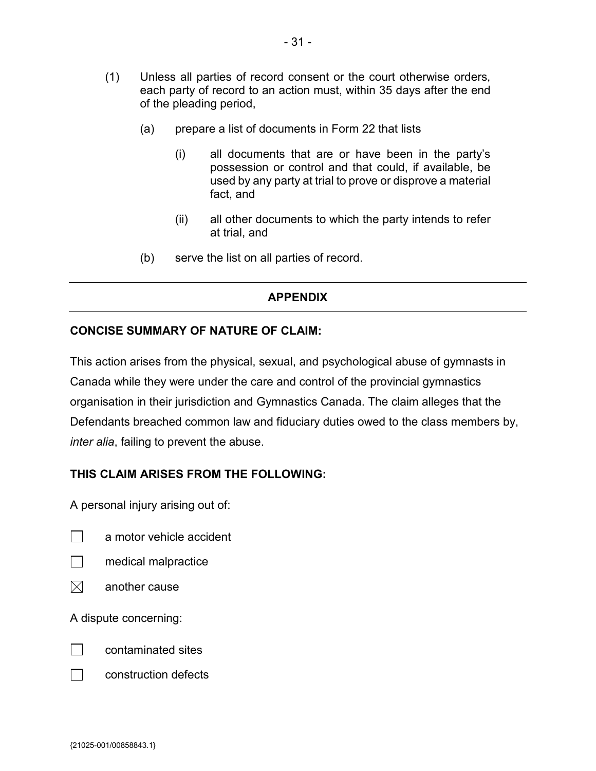- (1) Unless all parties of record consent or the court otherwise orders, each party of record to an action must, within 35 days after the end of the pleading period,
	- (a) prepare a list of documents in Form 22 that lists
		- (i) all documents that are or have been in the party's possession or control and that could, if available, be used by any party at trial to prove or disprove a material fact, and
		- (ii) all other documents to which the party intends to refer at trial, and
	- (b) serve the list on all parties of record.

### **APPENDIX**

#### **CONCISE SUMMARY OF NATURE OF CLAIM:**

This action arises from the physical, sexual, and psychological abuse of gymnasts in Canada while they were under the care and control of the provincial gymnastics organisation in their jurisdiction and Gymnastics Canada. The claim alleges that the Defendants breached common law and fiduciary duties owed to the class members by, *inter alia*, failing to prevent the abuse.

## **THIS CLAIM ARISES FROM THE FOLLOWING:**

A personal injury arising out of:

┓. a motor vehicle accident



- medical malpractice
- $\boxtimes$ another cause

A dispute concerning:



contaminated sites



construction defects